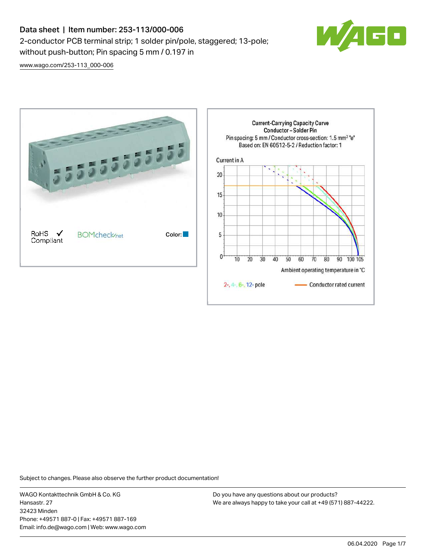## Data sheet | Item number: 253-113/000-006 2-conductor PCB terminal strip; 1 solder pin/pole, staggered; 13-pole; without push-button; Pin spacing 5 mm / 0.197 in



[www.wago.com/253-113\\_000-006](http://www.wago.com/253-113_000-006)



Subject to changes. Please also observe the further product documentation!

WAGO Kontakttechnik GmbH & Co. KG Hansastr. 27 32423 Minden Phone: +49571 887-0 | Fax: +49571 887-169 Email: info.de@wago.com | Web: www.wago.com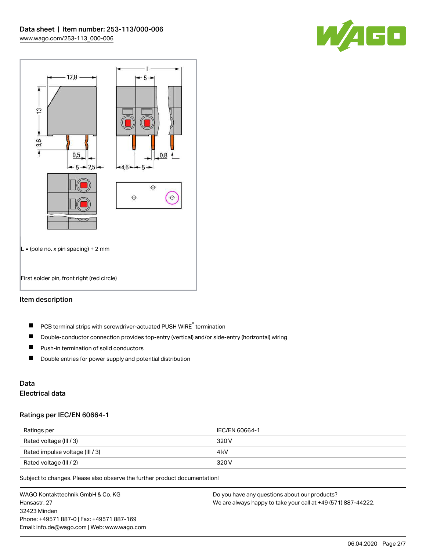



#### Item description

- PCB terminal strips with screwdriver-actuated PUSH WIRE® termination  $\blacksquare$
- $\blacksquare$ Double-conductor connection provides top-entry (vertical) and/or side-entry (horizontal) wiring
- $\blacksquare$ Push-in termination of solid conductors
- $\blacksquare$ Double entries for power supply and potential distribution

# Data

## Electrical data

#### Ratings per IEC/EN 60664-1

| Ratings per                     | IEC/EN 60664-1 |
|---------------------------------|----------------|
| Rated voltage (III / 3)         | 320 V          |
| Rated impulse voltage (III / 3) | 4 kV           |
| Rated voltage (III / 2)         | 320 V          |

Subject to changes. Please also observe the further product documentation!

WAGO Kontakttechnik GmbH & Co. KG Hansastr. 27 32423 Minden Phone: +49571 887-0 | Fax: +49571 887-169 Email: info.de@wago.com | Web: www.wago.com Do you have any questions about our products? We are always happy to take your call at +49 (571) 887-44222.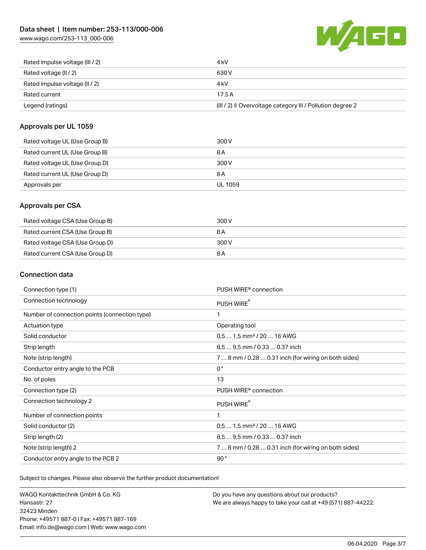[www.wago.com/253-113\\_000-006](http://www.wago.com/253-113_000-006)



| Rated impulse voltage (III / 2) | 4 kV                                                      |
|---------------------------------|-----------------------------------------------------------|
| Rated voltage (II / 2)          | 630 V                                                     |
| Rated impulse voltage (II / 2)  | 4 kV                                                      |
| Rated current                   | 17.5A                                                     |
| Legend (ratings)                | (III / 2) ≙ Overvoltage category III / Pollution degree 2 |

#### Approvals per UL 1059

| Rated voltage UL (Use Group B) | 300 V          |
|--------------------------------|----------------|
| Rated current UL (Use Group B) | 8 A            |
| Rated voltage UL (Use Group D) | 300 V          |
| Rated current UL (Use Group D) | 8 A            |
| Approvals per                  | <b>UL 1059</b> |

#### Approvals per CSA

| Rated voltage CSA (Use Group B) | 300 V |
|---------------------------------|-------|
| Rated current CSA (Use Group B) | 8 A   |
| Rated voltage CSA (Use Group D) | 300 V |
| Rated current CSA (Use Group D) | 8 A   |

#### Connection data

| Connection type (1)                           | PUSH WIRE <sup>®</sup> connection                    |  |
|-----------------------------------------------|------------------------------------------------------|--|
| Connection technology                         | PUSH WIRE®                                           |  |
| Number of connection points (connection type) | 1                                                    |  |
| Actuation type                                | Operating tool                                       |  |
| Solid conductor                               | $0.51.5$ mm <sup>2</sup> / 20  16 AWG                |  |
| Strip length                                  | 8,5  9,5 mm / 0.33  0.37 inch                        |  |
| Note (strip length)                           | 7  8 mm / 0.28  0.31 inch (for wiring on both sides) |  |
| Conductor entry angle to the PCB              | $0^{\circ}$                                          |  |
| No. of poles                                  | 13                                                   |  |
| Connection type (2)                           | PUSH WIRE <sup>®</sup> connection                    |  |
| Connection technology 2                       | PUSH WIRE®                                           |  |
| Number of connection points                   | 1                                                    |  |
| Solid conductor (2)                           | $0.51.5$ mm <sup>2</sup> / 20  16 AWG                |  |
| Strip length (2)                              | 8.5  9.5 mm / 0.33  0.37 inch                        |  |
| Note (strip length) 2                         | 7  8 mm / 0.28  0.31 inch (for wiring on both sides) |  |
| Conductor entry angle to the PCB 2            | 90°                                                  |  |

Subject to changes. Please also observe the further product documentation!

WAGO Kontakttechnik GmbH & Co. KG Hansastr. 27 32423 Minden Phone: +49571 887-0 | Fax: +49571 887-169 Email: info.de@wago.com | Web: www.wago.com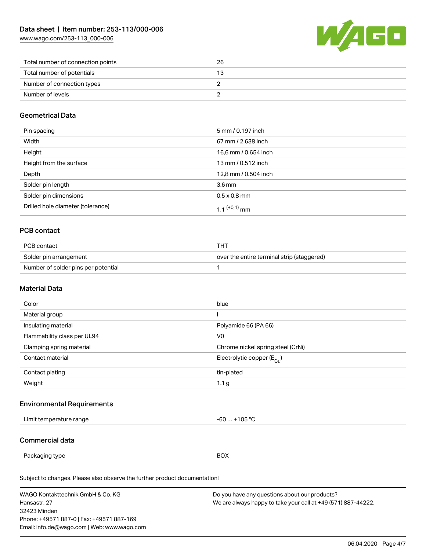[www.wago.com/253-113\\_000-006](http://www.wago.com/253-113_000-006)



| Total number of connection points | 26 |
|-----------------------------------|----|
| Total number of potentials        |    |
| Number of connection types        |    |
| Number of levels                  |    |

#### Geometrical Data

| Pin spacing                       | 5 mm / 0.197 inch          |
|-----------------------------------|----------------------------|
| Width                             | 67 mm / 2.638 inch         |
| Height                            | 16,6 mm / 0.654 inch       |
| Height from the surface           | 13 mm / 0.512 inch         |
| Depth                             | 12,8 mm / 0.504 inch       |
| Solder pin length                 | $3.6 \,\mathrm{mm}$        |
| Solder pin dimensions             | $0.5 \times 0.8$ mm        |
| Drilled hole diameter (tolerance) | $1.1$ <sup>(+0,1)</sup> mm |

## PCB contact

| PCB contact                         | THT                                        |
|-------------------------------------|--------------------------------------------|
| Solder pin arrangement              | over the entire terminal strip (staggered) |
| Number of solder pins per potential |                                            |

#### Material Data

| Color                       | blue                                  |
|-----------------------------|---------------------------------------|
| Material group              |                                       |
| Insulating material         | Polyamide 66 (PA 66)                  |
| Flammability class per UL94 | V <sub>0</sub>                        |
| Clamping spring material    | Chrome nickel spring steel (CrNi)     |
| Contact material            | Electrolytic copper $(E_{\text{Cl}})$ |
| Contact plating             | tin-plated                            |
| Weight                      | 1.1 <sub>g</sub>                      |

#### Environmental Requirements

| imit<br>a range<br>.<br><br>.<br>. | $\sim$ 0. $\sim$<br>1 U.S<br>. . |
|------------------------------------|----------------------------------|
|                                    |                                  |

### Commercial data

Packaging type BOX

Subject to changes. Please also observe the further product documentation!

| WAGO Kontakttechnik GmbH & Co. KG           | Do you have any questions about our products?                 |
|---------------------------------------------|---------------------------------------------------------------|
| Hansastr, 27                                | We are always happy to take your call at +49 (571) 887-44222. |
| 32423 Minden                                |                                                               |
| Phone: +49571 887-0   Fax: +49571 887-169   |                                                               |
| Email: info.de@wago.com   Web: www.wago.com |                                                               |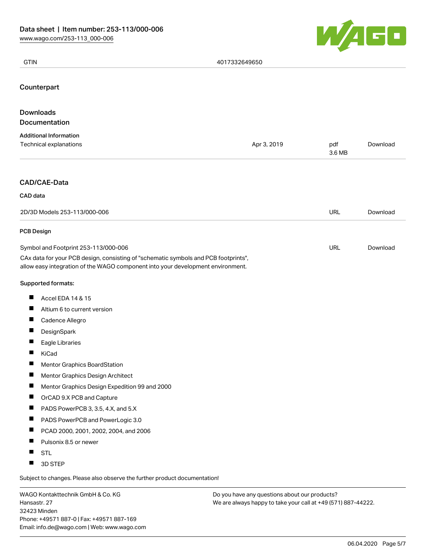

| <b>GTIN</b>                                                                                                                                                                                                    | 4017332649650 |               |          |
|----------------------------------------------------------------------------------------------------------------------------------------------------------------------------------------------------------------|---------------|---------------|----------|
| Counterpart                                                                                                                                                                                                    |               |               |          |
| <b>Downloads</b>                                                                                                                                                                                               |               |               |          |
| Documentation                                                                                                                                                                                                  |               |               |          |
| <b>Additional Information</b><br>Technical explanations                                                                                                                                                        | Apr 3, 2019   | pdf<br>3.6 MB | Download |
| CAD/CAE-Data                                                                                                                                                                                                   |               |               |          |
| CAD data                                                                                                                                                                                                       |               |               |          |
| 2D/3D Models 253-113/000-006                                                                                                                                                                                   |               | <b>URL</b>    | Download |
| <b>PCB Design</b>                                                                                                                                                                                              |               |               |          |
| Symbol and Footprint 253-113/000-006<br>CAx data for your PCB design, consisting of "schematic symbols and PCB footprints",<br>allow easy integration of the WAGO component into your development environment. |               | URL           | Download |
| Supported formats:                                                                                                                                                                                             |               |               |          |
| ш<br>Accel EDA 14 & 15                                                                                                                                                                                         |               |               |          |
| $\blacksquare$<br>Altium 6 to current version                                                                                                                                                                  |               |               |          |
| П<br>Cadence Allegro                                                                                                                                                                                           |               |               |          |
| $\blacksquare$<br>DesignSpark                                                                                                                                                                                  |               |               |          |
| Eagle Libraries                                                                                                                                                                                                |               |               |          |
| <b>KiCad</b>                                                                                                                                                                                                   |               |               |          |
| П<br><b>Mentor Graphics BoardStation</b>                                                                                                                                                                       |               |               |          |
| Ш<br>Mentor Graphics Design Architect                                                                                                                                                                          |               |               |          |
| $\blacksquare$<br>Mentor Graphics Design Expedition 99 and 2000                                                                                                                                                |               |               |          |
| ш<br>OrCAD 9.X PCB and Capture                                                                                                                                                                                 |               |               |          |
| ш<br>PADS PowerPCB 3, 3.5, 4.X, and 5.X                                                                                                                                                                        |               |               |          |
| ш<br>PADS PowerPCB and PowerLogic 3.0                                                                                                                                                                          |               |               |          |
| ш<br>PCAD 2000, 2001, 2002, 2004, and 2006                                                                                                                                                                     |               |               |          |
| $\blacksquare$<br>Pulsonix 8.5 or newer                                                                                                                                                                        |               |               |          |
| H<br><b>STL</b><br>Ш                                                                                                                                                                                           |               |               |          |
| 3D STEP<br>Subject to changes. Please also observe the further product documentation!                                                                                                                          |               |               |          |

WAGO Kontakttechnik GmbH & Co. KG Hansastr. 27 32423 Minden Phone: +49571 887-0 | Fax: +49571 887-169 Email: info.de@wago.com | Web: www.wago.com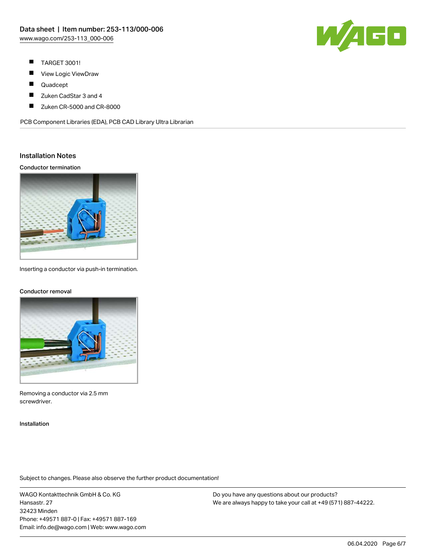

- $\blacksquare$ TARGET 3001!
- П View Logic ViewDraw
- $\blacksquare$ Quadcept
- П Zuken CadStar 3 and 4
- $\blacksquare$ Zuken CR-5000 and CR-8000

PCB Component Libraries (EDA), PCB CAD Library Ultra Librarian

#### Installation Notes

Conductor termination



Inserting a conductor via push-in termination.

#### Conductor removal



Removing a conductor via 2.5 mm screwdriver.

Installation

Subject to changes. Please also observe the further product documentation!

WAGO Kontakttechnik GmbH & Co. KG Hansastr. 27 32423 Minden Phone: +49571 887-0 | Fax: +49571 887-169 Email: info.de@wago.com | Web: www.wago.com